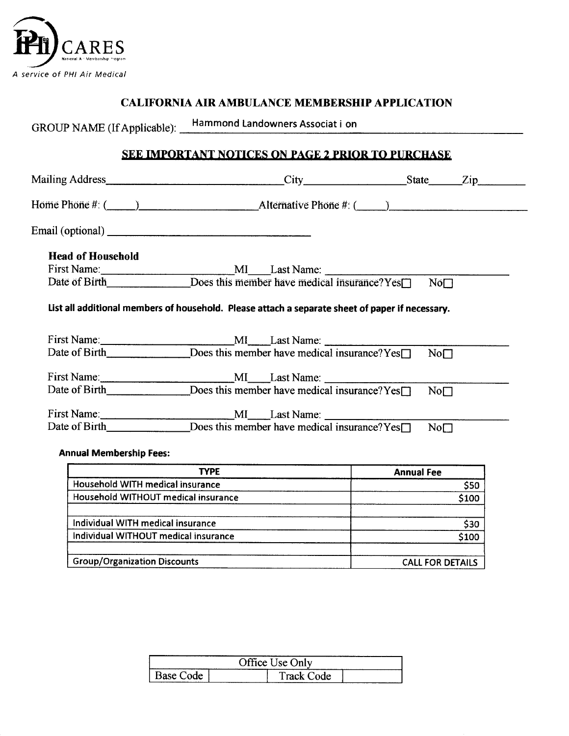

### **CALIFORNIA AIR AMBULANCE MEMBERSHIP APPLICATION**

**GROUP NAME (If Applicable): Hammond Landowners Associat i on** 

## **S EE IMPORTANT NOTICES ON PAGE 2 PRIOR TO PURCHASE**

|                                      | Home Phone #: $($ $)$ $\blacksquare$ $\blacksquare$ $\blacksquare$ Alternative Phone #: $($ $)$ $\blacksquare$ |                   |       |
|--------------------------------------|----------------------------------------------------------------------------------------------------------------|-------------------|-------|
|                                      |                                                                                                                |                   |       |
| <b>Head of Household</b>             |                                                                                                                |                   |       |
|                                      |                                                                                                                |                   |       |
|                                      |                                                                                                                | $N$ o $\Box$      |       |
|                                      | List all additional members of household. Please attach a separate sheet of paper if necessary.                |                   |       |
|                                      |                                                                                                                |                   |       |
|                                      | First Name: MI Last Name: Does this member have medical insurance?Yes                                          | No <sub>1</sub>   |       |
|                                      |                                                                                                                |                   |       |
|                                      |                                                                                                                | No <sub>1</sub>   |       |
|                                      |                                                                                                                |                   |       |
|                                      | Date of Birth _____________________Does this member have medical insurance? Yes                                | No <sub>1</sub>   |       |
| <b>Annual Membership Fees:</b>       |                                                                                                                |                   |       |
|                                      | <b>TYPE</b>                                                                                                    | <b>Annual Fee</b> |       |
| Household WITH medical insurance     |                                                                                                                |                   | \$50  |
|                                      | Household WITHOUT medical insurance                                                                            |                   | \$100 |
| Individual WITH medical insurance    |                                                                                                                |                   | \$30  |
| Individual WITHOUT medical insurance |                                                                                                                |                   | \$100 |
|                                      |                                                                                                                |                   |       |

| <b>Group/Organization Discounts</b> | <b>CALL FOR DETAILS</b> |
|-------------------------------------|-------------------------|

| Office Use Only |  |            |  |  |
|-----------------|--|------------|--|--|
| Base Code       |  | Track Code |  |  |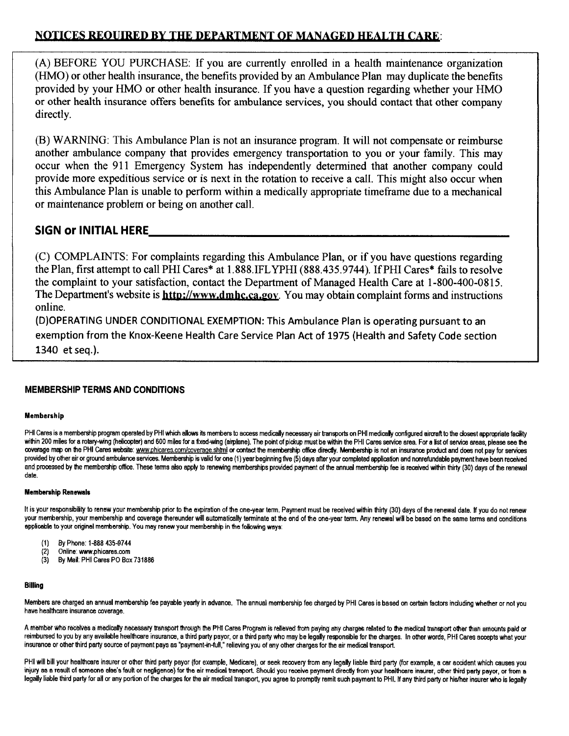# NOTICES REQUIRED BY THE DEPARTMENT OF MANAGED HEALTH CARE:

**(A) BEFORE YOU PURCHASE: If you are currently enrolled in a health maintenance organization (HMO) or other health insurance, the benefits provided by an Ambulance Plan may duplicate the benefits provided by your HMO or other health insurance. If you have a question regarding whether your HMO or other health insurance offers benefits for ambulance services, you should contact that other company directly.** 

**(B) WARNING: This Ambulance Plan is not an insurance program. It will not compensate or reimburse another ambulance company that provides emergency transportation to you or your family. This may occur when the 911 Emergency System has independently determined that another company could provide more expeditious service or is next in the rotation to receive a call. This might also occur when**  this Ambulance Plan is unable to perform within a medically appropriate timeframe due to a mechanical **or maintenance problem or being on another call.** 

### **SIGN or INITIAL HERE**

**(C) COMPLAINTS: For complaints regarding this Ambulance Plan, or if you have questions regarding the Plan, first attempt to call PHI Cares\* at 1.888.IFLYPHI (888.435.9744). If PHI Cares\* fails to resolve the complaint to your satisfaction, contact the Department of Managed Health Care at 1-800-400-0815.**  The Department's website is **http://www.dmhc.ca.gov**. You may obtain complaint forms and instructions **online.** 

**(D) OPERATING UNDER CONDITIONAL EXEMPTION: This Ambulance Plan is operating pursuant to an exemption from the Knox-Keene Health Care Service Plan Act of 1975 (Health and Safety Code section 1340 etseq.).** 

### **MEMBERSHIP TERMS AND CONDITIONS**

### **Membership**

PHI Cares is a membership program operated by PHI which allows its members to access medically necessary air transports on PHI medically configured aircraft to the closest appropriate facility within 200 miles for a rotary-wing (helicopter) and 600 miles for a fixed-wing (airplane). The point of pickup must be within the PHI Cares service area. For a list of service areas, please see the coverage map on the PHI Cares website: www.phicares.com/coverage.shtml or contact the membership office directly. Membership is not an insurance product and does not pay for services provided by other air or ground ambulance services. Membership is valid for one (1) year beginning five (5) days after your completed application and nonrefundable payment have been received and processed by the membership office. These terms also apply to renewing memberships provided payment of the annual membership fee is received within thirty (30) days of the renewal **date.** 

#### **Membership Renewals**

It is your responsibility to renew your membership prior to the expiration of the one-year term. Payment must be received within thirty (30) days of the renewal date. If you do not renew **your membership, your membership and coverage thereunder will automatically terminate at the end of the one-year temi. Any renewal will be based on the same temis and conditions**  applicable to your original membership. You may renew your membership in the following ways:

- **(1) By Phone: 1-288 435-9744**
- **(2) Online: www.phicares.com**
- **(3) By Mail: PHI Cares PO Box 731886**

#### **Billing**

**Members are charged an annual membership fee payable yearly in advance. The annual membership fee charged by PHI Cares is based on certain factors including whether or not you have healthcare insurance coverage.** 

A member who receives a medically necessary transport through the PHI Cares Program is relieved from paying any charges related to the medical transport other than amounts paid or reimbursed to you by any available healthcare insurance, a third party payor, or a third party who may be legally responsible for the charges. In other words, PHI Cares accepts what your **insurance or other third party source of payment pays as "payment-in-full," relieving you of any other charges for the air medical transport.** 

PHI will bill your healthcare insurer or other third party payor (for example, Medicare), or seek recovery from any legally liable third party (for example, a car accident which causes you injury as a result of someone else's fault or negligence) for the air medical transport. Should you receive payment directly from your healthcare insurer, other third party payor, or from a legally liable third party for all or any portion of the charges for the air medical transport, you agree to promptly remit such payment to PHI. If any third party or his/her insurer who is legally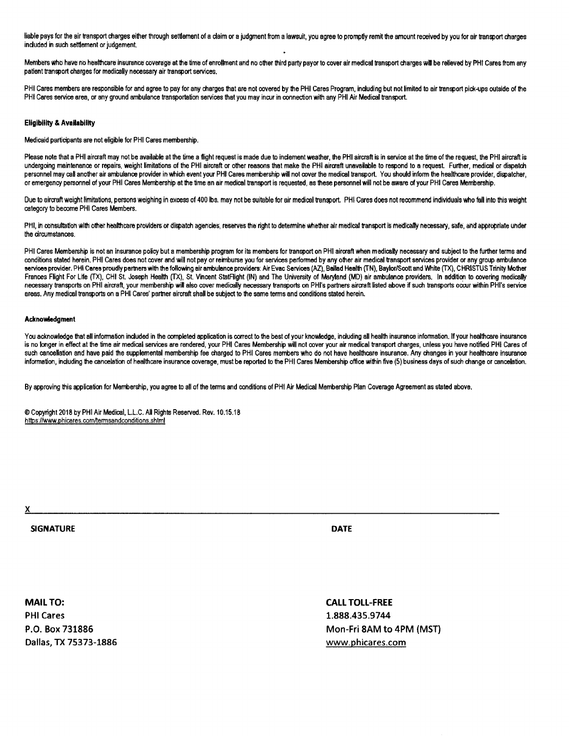liable pays for the air transport charges either through settlement of a claim or a judgment from a lawsuit, you agree to promptly remit the amount received by you for air transport charges **included in such settlement or judgement** 

Members who have no healthcare insurance coverage at the time of enrofiment and no other third party payor to cover air medical transport charges will be relieved by PHI Cares from any **patient transport charges for medically necessary air transport services.** 

PHI Cares members are responsible for and agree to pay for any charges that are not covered by the PHI Cares Program, including but not limited to air transport pick-ups outside of the PHI Cares service area, or any ground ambulance transportation services that you may incur in connection with any PHI Air Medical transport.

#### **Eligibility & Availability**

**Medicaid participants are not eligible for PHI Cares membership.** 

Please note that a PHI aircraft may not be available at the time a flight request is made due to indement weather, the PHI aircraft is in service at the time of the request, the PHI aircraft is **undergoing maintenance or repairs, weight limitations of the PHI aircraft or other reasons that make the PHI aircraft unavailable to respond to a request Further, medical or dispatch personnel may call another air ambulance provider in which event your PHI Cares membership will not cover the medical transport. You should inform the healthcare provider, dispatcher,**  or emergency personnel of your PHI Cares Membership at the time an air medical transport is requested, as these personnel will not be aware of your PHI Cares Membership.

Due to aircraft weight limitations, persons weighing in excess of 400 lbs. may not be suitable for air medical transport. PHI Cares does not recommend individuals who fall into this weight **category to become PHI Cares Members.** 

PHI, in consultation with other healthcare providers or dispatch agencies, reserves the right to determine whether air medical transport is medically necessary, sate, and appropriate under **the circumstances.** 

PHI Cares Membership is not an insurance policy but a membership program for its members for transport on PHI aircraft when medically necessary and subject to the further terms and **conditions stated herein. PHI Cares does not cover and will not pay or reimburse you for sen/ices performed by any other air medical transport sen/Ices provider or any group ambulance**  services provider. PHI Cares proudly partners with the following air ambulance providers: Air Evac Services (AZ), Ballad Health (TN), Baylor/Scott and White (TX), CHRISTUS Trinity Mother Frances Flight For Life (TX), CHI St. Joseph Health (TX), St. Vincent StatFlight (IN) and The University of Maryland (MD) air ambulance providers. In addition to covering medically **necessary transports on PHI aircraft, your membership will also cover medically necessary transports on PHI's partners aircraft listed above if such transports occur within PHI's service areas. Any medical transports on a PHI Cares' partner aircraft shall be subject to the same terms and conditions stated herein.** 

#### **Acknowledgment**

You acknowledge that all information included in the completed application is correct to the best of your knowledge, including all health insurance information. If your healthcare insurance is no longer in effect at the time air medical services are rendered, your PHI Cares Membership will not cover your air medical transport charges, unless you have notified PHI Cares of such cancellation and have paid the supplemental membership fee charged to PHI Cares members who do not have healthcare insurance. Any changes in your healthcare insurance information, including the cancelation of healthcare insurance coverage, must be reported to the PHI Cares Membership office within five (5) business days of such change or cancelation.

**By approving this application for Membership, you agree to all of the tenns and conditions of PHI Air Medical Membership Plan Coverage Agreement as stated above.** 

**© Copyright 2018 by PHI Air Medical, L.L.C. All Rights Resen/ed. Rev. 10.15.18**  https://www.phicares.com/termsandconditions.shtml

**X** 

**SIGNATURE DATE** 

**MAIL TO: PHI Cares P.O. Box 731886 Dallas, TX 75373-1886** 

**CALL TOLL-FREE 1.888.435.9744 Mon-Fri 8AM to 4PM (MST) www.phicares.com**